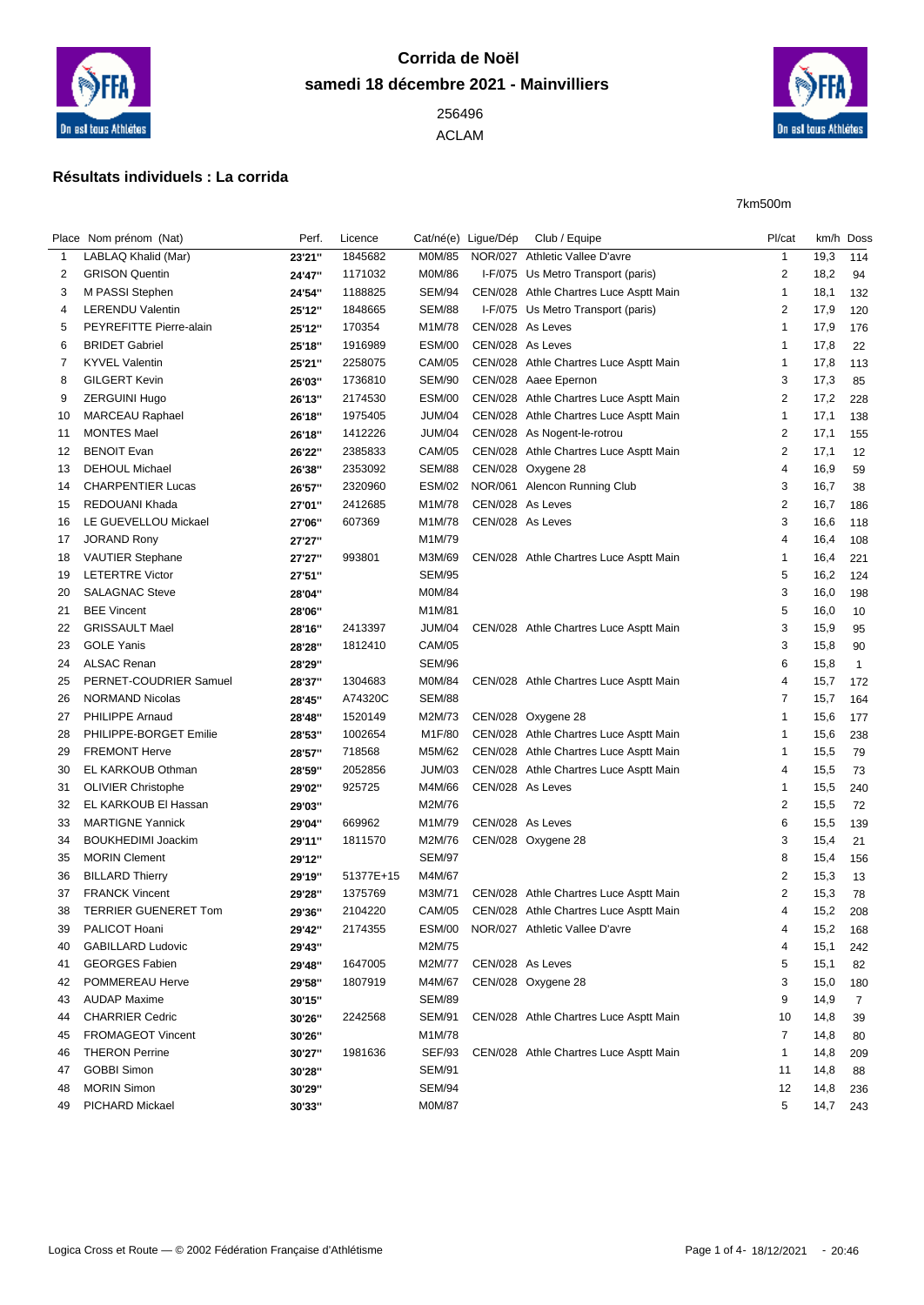

## **Corrida de Noël samedi 18 décembre 2021 - Mainvilliers**

ACLAM



## **Résultats individuels : La corrida**

7km500m

|                | Place Nom prénom (Nat)      | Perf.            | Licence   |               | Cat/né(e) Ligue/Dép | Club / Equipe                          | Pl/cat                  |      | km/h Doss      |
|----------------|-----------------------------|------------------|-----------|---------------|---------------------|----------------------------------------|-------------------------|------|----------------|
| 1              | LABLAQ Khalid (Mar)         | 23'21"           | 1845682   | M0M/85        |                     | NOR/027 Athletic Vallee D'avre         | $\mathbf{1}$            | 19,3 | 114            |
| 2              | <b>GRISON Quentin</b>       | 24'47"           | 1171032   | <b>M0M/86</b> |                     | I-F/075 Us Metro Transport (paris)     | $\overline{\mathbf{c}}$ | 18,2 | 94             |
| 3              | M PASSI Stephen             | 24'54"           | 1188825   | SEM/94        |                     | CEN/028 Athle Chartres Luce Asptt Main | 1                       | 18,1 | 132            |
| 4              | <b>LERENDU Valentin</b>     | 25'12"           | 1848665   | <b>SEM/88</b> |                     | I-F/075 Us Metro Transport (paris)     | $\overline{2}$          | 17,9 | 120            |
| 5              | PEYREFITTE Pierre-alain     | 25'12"           | 170354    | M1M/78        | CEN/028 As Leves    |                                        | 1                       | 17,9 | 176            |
| 6              | <b>BRIDET Gabriel</b>       | 25'18"           | 1916989   | <b>ESM/00</b> | CEN/028 As Leves    |                                        | 1                       | 17,8 | 22             |
| $\overline{7}$ | <b>KYVEL Valentin</b>       | 25'21"           | 2258075   | <b>CAM/05</b> |                     | CEN/028 Athle Chartres Luce Asptt Main | $\mathbf 1$             | 17,8 | 113            |
| 8              | <b>GILGERT Kevin</b>        | 26'03"           | 1736810   | SEM/90        |                     | CEN/028 Aaee Epernon                   | 3                       | 17,3 | 85             |
| 9              | <b>ZERGUINI Hugo</b>        | 26'13"           | 2174530   | <b>ESM/00</b> |                     | CEN/028 Athle Chartres Luce Asptt Main | 2                       | 17,2 | 228            |
| 10             | <b>MARCEAU Raphael</b>      | 26'18"           | 1975405   | <b>JUM/04</b> |                     | CEN/028 Athle Chartres Luce Asptt Main | $\mathbf{1}$            | 17,1 | 138            |
| 11             | <b>MONTES Mael</b>          | 26'18"           | 1412226   | <b>JUM/04</b> |                     | CEN/028 As Nogent-le-rotrou            | $\overline{2}$          | 17,1 | 155            |
| 12             | <b>BENOIT Evan</b>          | 26'22"           | 2385833   | <b>CAM/05</b> |                     | CEN/028 Athle Chartres Luce Asptt Main | $\overline{2}$          | 17,1 | 12             |
| 13             | <b>DEHOUL Michael</b>       | 26'38"           | 2353092   | <b>SEM/88</b> |                     | CEN/028 Oxygene 28                     | 4                       | 16,9 | 59             |
| 14             | <b>CHARPENTIER Lucas</b>    | 26'57"           | 2320960   | <b>ESM/02</b> |                     | NOR/061 Alencon Running Club           | 3                       | 16,7 | 38             |
| 15             | REDOUANI Khada              | 27'01"           | 2412685   | M1M/78        | CEN/028 As Leves    |                                        | $\overline{2}$          | 16,7 | 186            |
| 16             | LE GUEVELLOU Mickael        | 27'06"           | 607369    | M1M/78        | CEN/028 As Leves    |                                        | 3                       | 16,6 | 118            |
| 17             | <b>JORAND Rony</b>          | 27'27"           |           | M1M/79        |                     |                                        | 4                       | 16,4 | 108            |
| 18             | <b>VAUTIER Stephane</b>     | 27'27"           | 993801    | M3M/69        |                     | CEN/028 Athle Chartres Luce Asptt Main | $\mathbf 1$             | 16,4 | 221            |
| 19             | <b>LETERTRE Victor</b>      | 27'51"           |           | <b>SEM/95</b> |                     |                                        | 5                       | 16,2 | 124            |
| 20             | <b>SALAGNAC Steve</b>       | 28'04"           |           | <b>M0M/84</b> |                     |                                        | 3                       | 16,0 | 198            |
| 21             | <b>BEE Vincent</b>          | 28'06"           |           | M1M/81        |                     |                                        | 5                       | 16,0 | 10             |
| 22             | <b>GRISSAULT Mael</b>       | 28'16"           | 2413397   | <b>JUM/04</b> |                     | CEN/028 Athle Chartres Luce Asptt Main | 3                       | 15,9 | 95             |
| 23             | <b>GOLE Yanis</b>           |                  | 1812410   | <b>CAM/05</b> |                     |                                        | 3                       | 15,8 | 90             |
| 24             | <b>ALSAC Renan</b>          | 28'28"<br>28'29" |           | SEM/96        |                     |                                        | 6                       | 15,8 | $\overline{1}$ |
| 25             | PERNET-COUDRIER Samuel      |                  |           |               |                     |                                        | 4                       |      |                |
|                |                             | 28'37"           | 1304683   | <b>M0M/84</b> |                     | CEN/028 Athle Chartres Luce Asptt Main |                         | 15,7 | 172            |
| 26             | <b>NORMAND Nicolas</b>      | 28'45"           | A74320C   | <b>SEM/88</b> |                     | CEN/028 Oxygene 28                     | 7<br>1                  | 15,7 | 164            |
| 27             | PHILIPPE Arnaud             | 28'48"           | 1520149   | M2M/73        |                     |                                        |                         | 15,6 | 177            |
| 28             | PHILIPPE-BORGET Emilie      | 28'53"           | 1002654   | M1F/80        |                     | CEN/028 Athle Chartres Luce Asptt Main | 1                       | 15,6 | 238            |
| 29             | <b>FREMONT Herve</b>        | 28'57"           | 718568    | M5M/62        |                     | CEN/028 Athle Chartres Luce Asptt Main | 1                       | 15,5 | 79             |
| 30             | EL KARKOUB Othman           | 28'59"           | 2052856   | <b>JUM/03</b> |                     | CEN/028 Athle Chartres Luce Asptt Main | 4                       | 15,5 | 73             |
| 31             | <b>OLIVIER Christophe</b>   | 29'02"           | 925725    | M4M/66        | CEN/028 As Leves    |                                        | 1                       | 15,5 | 240            |
| 32             | EL KARKOUB EI Hassan        | 29'03"           |           | M2M/76        |                     |                                        | $\overline{2}$          | 15,5 | 72             |
| 33             | <b>MARTIGNE Yannick</b>     | 29'04"           | 669962    | M1M/79        | CEN/028 As Leves    |                                        | 6                       | 15,5 | 139            |
| 34             | <b>BOUKHEDIMI Joackim</b>   | 29'11"           | 1811570   | M2M/76        |                     | CEN/028 Oxygene 28                     | 3                       | 15,4 | 21             |
| 35             | <b>MORIN Clement</b>        | 29'12"           |           | <b>SEM/97</b> |                     |                                        | 8                       | 15,4 | 156            |
| 36             | <b>BILLARD Thierry</b>      | 29'19"           | 51377E+15 | M4M/67        |                     |                                        | $\overline{2}$          | 15,3 | 13             |
| 37             | <b>FRANCK Vincent</b>       | 29'28"           | 1375769   | M3M/71        |                     | CEN/028 Athle Chartres Luce Asptt Main | $\overline{2}$          | 15,3 | 78             |
| 38             | <b>TERRIER GUENERET Tom</b> | 29'36"           | 2104220   | <b>CAM/05</b> |                     | CEN/028 Athle Chartres Luce Asptt Main | 4                       | 15,2 | 208            |
| 39             | PALICOT Hoani               | 29'42"           | 2174355   |               |                     | ESM/00 NOR/027 Athletic Vallee D'avre  | 4                       | 15,2 | 168            |
| 40             | <b>GABILLARD Ludovic</b>    | 29'43"           |           | M2M/75        |                     |                                        | 4                       | 15,1 | 242            |
| 41             | <b>GEORGES Fabien</b>       | 29'48"           | 1647005   | M2M/77        | CEN/028 As Leves    |                                        | 5                       | 15,1 | 82             |
| 42             | POMMEREAU Herve             | 29'58"           | 1807919   | M4M/67        |                     | CEN/028 Oxygene 28                     | 3                       | 15,0 | 180            |
| 43             | <b>AUDAP Maxime</b>         | 30'15"           |           | <b>SEM/89</b> |                     |                                        | 9                       | 14,9 | 7              |
| 44             | <b>CHARRIER Cedric</b>      | 30'26"           | 2242568   | SEM/91        |                     | CEN/028 Athle Chartres Luce Asptt Main | 10                      | 14,8 | 39             |
| 45             | <b>FROMAGEOT Vincent</b>    | 30'26"           |           | M1M/78        |                     |                                        | 7                       | 14,8 | 80             |
| 46             | <b>THERON Perrine</b>       | 30'27"           | 1981636   | <b>SEF/93</b> |                     | CEN/028 Athle Chartres Luce Asptt Main | 1                       | 14,8 | 209            |
| 47             | <b>GOBBI Simon</b>          | 30'28"           |           | <b>SEM/91</b> |                     |                                        | 11                      | 14,8 | 88             |
| 48             | <b>MORIN Simon</b>          | 30'29"           |           | SEM/94        |                     |                                        | 12                      | 14,8 | 236            |
| 49             | PICHARD Mickael             | 30'33"           |           | M0M/87        |                     |                                        | 5                       | 14,7 | 243            |
|                |                             |                  |           |               |                     |                                        |                         |      |                |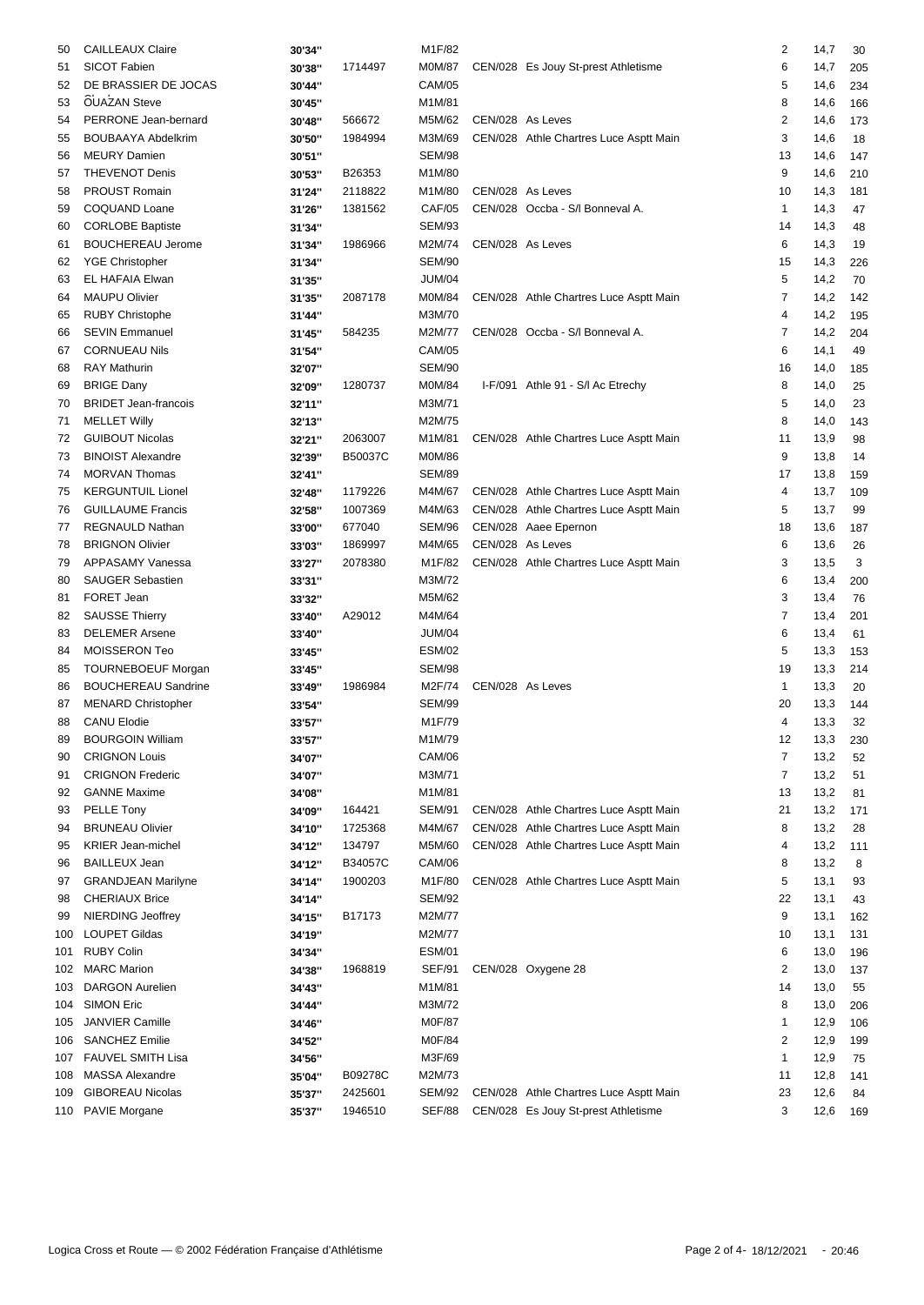| 50       | <b>CAILLEAUX Claire</b>     | 30'34" |                    | M1F/82                  |                  |                                        | $\overline{\mathbf{c}}$ | 14,7         | 30  |
|----------|-----------------------------|--------|--------------------|-------------------------|------------------|----------------------------------------|-------------------------|--------------|-----|
| 51       | SICOT Fabien                | 30'38" | 1714497            | M0M/87                  |                  | CEN/028 Es Jouy St-prest Athletisme    | 6                       | 14,7         | 205 |
| 52       | DE BRASSIER DE JOCAS        | 30'44" |                    | <b>CAM/05</b>           |                  |                                        | 5                       | 14,6         | 234 |
| 53       | <b>OUAZAN Steve</b>         | 30'45" |                    | M1M/81                  |                  |                                        | 8                       | 14,6         | 166 |
| 54       | PERRONE Jean-bernard        | 30'48" | 566672             | M5M/62                  | CEN/028 As Leves |                                        | $\overline{2}$          | 14,6         | 173 |
| 55       | <b>BOUBAAYA Abdelkrim</b>   | 30'50" | 1984994            | M3M/69                  |                  | CEN/028 Athle Chartres Luce Asptt Main | 3                       | 14,6         | 18  |
| 56       | <b>MEURY Damien</b>         | 30'51" |                    | SEM/98                  |                  |                                        | 13                      | 14,6         | 147 |
| 57       | <b>THEVENOT Denis</b>       | 30'53" | B26353             | M1M/80                  |                  |                                        | 9                       | 14,6         | 210 |
| 58       | PROUST Romain               | 31'24" | 2118822            | M1M/80                  | CEN/028 As Leves |                                        | 10                      | 14,3         | 181 |
| 59       | COQUAND Loane               | 31'26" | 1381562            | <b>CAF/05</b>           |                  | CEN/028 Occba - S/I Bonneval A.        | 1                       | 14,3         | 47  |
| 60       | <b>CORLOBE Baptiste</b>     | 31'34" |                    | <b>SEM/93</b>           |                  |                                        | 14                      | 14,3         | 48  |
| 61       | <b>BOUCHEREAU Jerome</b>    | 31'34" | 1986966            | M2M/74                  | CEN/028 As Leves |                                        | 6                       | 14,3         | 19  |
| 62       | <b>YGE Christopher</b>      | 31'34" |                    | <b>SEM/90</b>           |                  |                                        | 15                      | 14,3         | 226 |
| 63       | EL HAFAIA Elwan             | 31'35" |                    | <b>JUM/04</b>           |                  |                                        | 5                       | 14,2         | 70  |
| 64       | <b>MAUPU Olivier</b>        | 31'35" | 2087178            | M0M/84                  |                  | CEN/028 Athle Chartres Luce Asptt Main | 7                       | 14,2         | 142 |
| 65       | <b>RUBY Christophe</b>      | 31'44" |                    | M3M/70                  |                  |                                        | $\overline{4}$          | 14,2         | 195 |
| 66       | <b>SEVIN Emmanuel</b>       | 31'45" | 584235             | M2M/77                  |                  | CEN/028 Occba - S/I Bonneval A.        | 7                       | 14,2         | 204 |
| 67       | <b>CORNUEAU Nils</b>        | 31'54" |                    | <b>CAM/05</b>           |                  |                                        | 6                       | 14,1         | 49  |
| 68       | <b>RAY Mathurin</b>         | 32'07" |                    | SEM/90                  |                  |                                        | 16                      | 14,0         | 185 |
| 69       | <b>BRIGE Dany</b>           | 32'09" | 1280737            | M0M/84                  |                  | I-F/091 Athle 91 - S/I Ac Etrechy      | 8                       | 14,0         | 25  |
| 70       | <b>BRIDET Jean-francois</b> | 32'11" |                    | M3M/71                  |                  |                                        | 5                       | 14,0         | 23  |
| 71       | <b>MELLET Willy</b>         |        |                    | M2M/75                  |                  |                                        | 8                       | 14,0         |     |
|          | <b>GUIBOUT Nicolas</b>      | 32'13" |                    |                         |                  |                                        | 11                      |              | 143 |
| 72       | <b>BINOIST Alexandre</b>    | 32'21" | 2063007<br>B50037C | M1M/81<br><b>M0M/86</b> |                  | CEN/028 Athle Chartres Luce Asptt Main | 9                       | 13,9         | 98  |
| 73<br>74 | <b>MORVAN Thomas</b>        | 32'39" |                    | <b>SEM/89</b>           |                  |                                        | 17                      | 13,8<br>13,8 | 14  |
|          |                             | 32'41" |                    |                         |                  |                                        |                         |              | 159 |
| 75       | <b>KERGUNTUIL Lionel</b>    | 32'48" | 1179226            | M4M/67                  |                  | CEN/028 Athle Chartres Luce Asptt Main | 4                       | 13,7         | 109 |
| 76       | <b>GUILLAUME Francis</b>    | 32'58" | 1007369            | M4M/63                  |                  | CEN/028 Athle Chartres Luce Asptt Main | 5                       | 13,7         | 99  |
| 77       | REGNAULD Nathan             | 33'00" | 677040             | <b>SEM/96</b>           |                  | CEN/028 Aaee Epernon                   | 18                      | 13,6         | 187 |
| 78       | <b>BRIGNON Olivier</b>      | 33'03" | 1869997            | M4M/65                  | CEN/028 As Leves |                                        | 6                       | 13,6         | 26  |
| 79       | APPASAMY Vanessa            | 33'27" | 2078380            | M1F/82                  |                  | CEN/028 Athle Chartres Luce Asptt Main | 3                       | 13,5         | 3   |
| 80       | <b>SAUGER Sebastien</b>     | 33'31" |                    | M3M/72                  |                  |                                        | 6                       | 13,4         | 200 |
| 81       | FORET Jean                  | 33'32" |                    | M5M/62                  |                  |                                        | 3                       | 13,4         | 76  |
| 82       | <b>SAUSSE Thierry</b>       | 33'40" | A29012             | M4M/64                  |                  |                                        | $\overline{7}$          | 13,4         | 201 |
| 83       | <b>DELEMER Arsene</b>       | 33'40" |                    | <b>JUM/04</b>           |                  |                                        | 6                       | 13,4         | 61  |
| 84       | MOISSERON Teo               | 33'45" |                    | <b>ESM/02</b>           |                  |                                        | 5                       | 13,3         | 153 |
| 85       | <b>TOURNEBOEUF Morgan</b>   | 33'45" |                    | <b>SEM/98</b>           |                  |                                        | 19                      | 13,3         | 214 |
| 86       | <b>BOUCHEREAU Sandrine</b>  | 33'49" | 1986984            | M2F/74                  | CEN/028 As Leves |                                        | 1                       | 13,3         | 20  |
| 87       | <b>MENARD Christopher</b>   | 33'54" |                    | <b>SEM/99</b>           |                  |                                        | 20                      | 13,3         | 144 |
| 88       | <b>CANU Elodie</b>          | 33'57" |                    | M1F/79                  |                  |                                        | 4                       | 13,3         | 32  |
| 89       | <b>BOURGOIN William</b>     | 33'57" |                    | M1M/79                  |                  |                                        | 12                      | 13,3         | 230 |
| 90       | <b>CRIGNON Louis</b>        | 34'07" |                    | <b>CAM/06</b>           |                  |                                        | 7                       | 13,2         | 52  |
| 91       | <b>CRIGNON Frederic</b>     | 34'07" |                    | M3M/71                  |                  |                                        | $\overline{7}$          | 13,2         | 51  |
| 92       | <b>GANNE Maxime</b>         | 34'08" |                    | M1M/81                  |                  |                                        | 13                      | 13,2         | 81  |
| 93       | PELLE Tony                  | 34'09" | 164421             | <b>SEM/91</b>           |                  | CEN/028 Athle Chartres Luce Asptt Main | 21                      | 13,2         | 171 |
| 94       | <b>BRUNEAU Olivier</b>      | 34'10" | 1725368            | M4M/67                  |                  | CEN/028 Athle Chartres Luce Asptt Main | 8                       | 13,2         | 28  |
| 95       | <b>KRIER Jean-michel</b>    | 34'12" | 134797             | M5M/60                  |                  | CEN/028 Athle Chartres Luce Asptt Main | 4                       | 13,2         | 111 |
| 96       | <b>BAILLEUX Jean</b>        | 34'12" | B34057C            | <b>CAM/06</b>           |                  |                                        | 8                       | 13,2         | 8   |
| 97       | <b>GRANDJEAN Marilyne</b>   | 34'14" | 1900203            | M1F/80                  |                  | CEN/028 Athle Chartres Luce Asptt Main | 5                       | 13,1         | 93  |
| 98       | <b>CHERIAUX Brice</b>       | 34'14" |                    | <b>SEM/92</b>           |                  |                                        | 22                      | 13,1         | 43  |
| 99       | <b>NIERDING Jeoffrey</b>    | 34'15" | B17173             | M2M/77                  |                  |                                        | 9                       | 13,1         | 162 |
| 100      | <b>LOUPET Gildas</b>        | 34'19" |                    | M2M/77                  |                  |                                        | 10                      | 13,1         | 131 |
| 101      | <b>RUBY Colin</b>           | 34'34" |                    | ESM/01                  |                  |                                        | 6                       | 13,0         | 196 |
| 102      | <b>MARC Marion</b>          | 34'38" | 1968819            | <b>SEF/91</b>           |                  | CEN/028 Oxygene 28                     | 2                       | 13,0         | 137 |
| 103      | <b>DARGON Aurelien</b>      | 34'43" |                    | M1M/81                  |                  |                                        | 14                      | 13,0         | 55  |
| 104      | <b>SIMON Eric</b>           | 34'44" |                    | M3M/72                  |                  |                                        | 8                       | 13,0         | 206 |
| 105      | <b>JANVIER Camille</b>      | 34'46" |                    | M0F/87                  |                  |                                        | 1                       | 12,9         | 106 |
|          | 106 SANCHEZ Emilie          | 34'52" |                    | M0F/84                  |                  |                                        | 2                       | 12,9         | 199 |
|          | 107 FAUVEL SMITH Lisa       | 34'56" |                    | M3F/69                  |                  |                                        | 1                       | 12,9         | 75  |
| 108      | <b>MASSA Alexandre</b>      | 35'04" | B09278C            | M2M/73                  |                  |                                        | 11                      | 12,8         | 141 |
| 109      | <b>GIBOREAU Nicolas</b>     | 35'37" | 2425601            | SEM/92                  |                  | CEN/028 Athle Chartres Luce Asptt Main | 23                      | 12,6         | 84  |
|          | 110 PAVIE Morgane           | 35'37" | 1946510            | SEF/88                  |                  | CEN/028 Es Jouy St-prest Athletisme    | 3                       | 12,6         | 169 |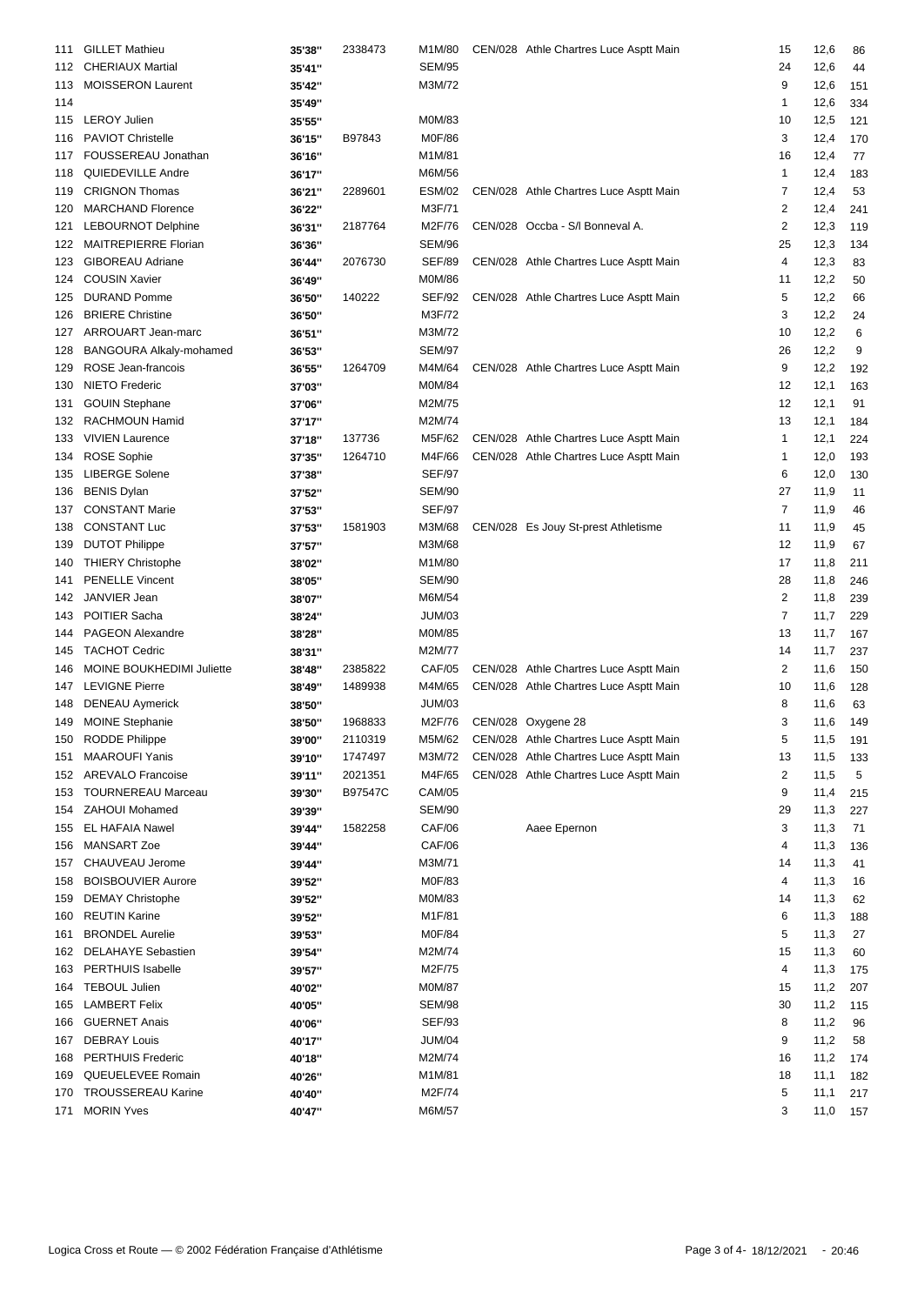| 111 | <b>GILLET Mathieu</b>       | 35'38" | 2338473 | M1M/80        | CEN/028 Athle Chartres Luce Asptt Main | 15             | 12,6     | 86  |
|-----|-----------------------------|--------|---------|---------------|----------------------------------------|----------------|----------|-----|
|     | 112 CHERIAUX Martial        | 35'41" |         | <b>SEM/95</b> |                                        | 24             | 12,6     | 44  |
|     | <b>MOISSERON Laurent</b>    |        |         | M3M/72        |                                        | 9              |          |     |
| 113 |                             | 35'42" |         |               |                                        | $\mathbf 1$    | 12,6     | 151 |
| 114 |                             | 35'49" |         |               |                                        |                | 12,6     | 334 |
| 115 | <b>LEROY Julien</b>         | 35'55" |         | M0M/83        |                                        | 10             | 12,5     | 121 |
| 116 | <b>PAVIOT Christelle</b>    | 36'15" | B97843  | M0F/86        |                                        | 3              | 12,4     | 170 |
| 117 | FOUSSEREAU Jonathan         | 36'16" |         | M1M/81        |                                        | 16             | 12,4     | 77  |
| 118 | <b>QUIEDEVILLE Andre</b>    | 36'17" |         | M6M/56        |                                        | $\mathbf{1}$   | 12,4     | 183 |
| 119 | <b>CRIGNON Thomas</b>       | 36'21" | 2289601 | <b>ESM/02</b> | CEN/028 Athle Chartres Luce Asptt Main | 7              | 12,4     | 53  |
| 120 | <b>MARCHAND Florence</b>    | 36'22" |         | M3F/71        |                                        | $\overline{2}$ | 12,4     | 241 |
| 121 | <b>LEBOURNOT Delphine</b>   | 36'31" | 2187764 | M2F/76        | CEN/028 Occba - S/I Bonneval A.        | $\overline{2}$ | 12,3     | 119 |
| 122 | <b>MAITREPIERRE Florian</b> | 36'36" |         | <b>SEM/96</b> |                                        | 25             | 12,3     | 134 |
| 123 | <b>GIBOREAU Adriane</b>     | 36'44" | 2076730 | <b>SEF/89</b> | CEN/028 Athle Chartres Luce Asptt Main | $\overline{4}$ | 12,3     | 83  |
| 124 | <b>COUSIN Xavier</b>        | 36'49" |         | M0M/86        |                                        | 11             | 12,2     | 50  |
| 125 | <b>DURAND Pomme</b>         | 36'50" | 140222  | <b>SEF/92</b> | CEN/028 Athle Chartres Luce Asptt Main | 5              | 12,2     | 66  |
| 126 | <b>BRIERE Christine</b>     | 36'50" |         | M3F/72        |                                        | 3              | 12,2     | 24  |
| 127 | ARROUART Jean-marc          | 36'51" |         | M3M/72        |                                        | 10             | 12,2     | 6   |
| 128 | BANGOURA Alkaly-mohamed     | 36'53" |         | <b>SEM/97</b> |                                        | 26             | 12,2     | 9   |
| 129 | ROSE Jean-francois          | 36'55" | 1264709 | M4M/64        | CEN/028 Athle Chartres Luce Asptt Main | 9              | 12,2     | 192 |
| 130 | <b>NIETO Frederic</b>       | 37'03" |         | M0M/84        |                                        | 12             | 12,1     | 163 |
| 131 | <b>GOUIN Stephane</b>       | 37'06" |         | M2M/75        |                                        | 12             | 12,1     | 91  |
| 132 | RACHMOUN Hamid              | 37'17" |         | M2M/74        |                                        | 13             | 12,1     | 184 |
| 133 | <b>VIVIEN Laurence</b>      | 37'18" | 137736  | M5F/62        | CEN/028 Athle Chartres Luce Asptt Main | $\mathbf{1}$   | 12,1     | 224 |
| 134 | <b>ROSE Sophie</b>          | 37'35" | 1264710 | M4F/66        | CEN/028 Athle Chartres Luce Asptt Main | 1              | 12,0     | 193 |
| 135 | <b>LIBERGE Solene</b>       | 37'38" |         | <b>SEF/97</b> |                                        | 6              | 12,0     | 130 |
| 136 | <b>BENIS Dylan</b>          | 37'52" |         | <b>SEM/90</b> |                                        | 27             | 11,9     | 11  |
| 137 | <b>CONSTANT Marie</b>       | 37'53" |         | <b>SEF/97</b> |                                        | $\overline{7}$ | 11,9     | 46  |
| 138 | <b>CONSTANT Luc</b>         | 37'53" | 1581903 | M3M/68        | CEN/028 Es Jouy St-prest Athletisme    | 11             | 11,9     | 45  |
| 139 | <b>DUTOT Philippe</b>       | 37'57" |         | M3M/68        |                                        | 12             | 11,9     | 67  |
| 140 | <b>THIERY Christophe</b>    | 38'02" |         | M1M/80        |                                        | 17             | 11,8     | 211 |
| 141 | <b>PENELLE Vincent</b>      | 38'05" |         | <b>SEM/90</b> |                                        | 28             | 11,8     | 246 |
| 142 | JANVIER Jean                | 38'07" |         | M6M/54        |                                        | $\overline{c}$ | 11,8     | 239 |
| 143 | POITIER Sacha               | 38'24" |         | <b>JUM/03</b> |                                        | 7              | 11,7     | 229 |
| 144 | PAGEON Alexandre            | 38'28" |         | M0M/85        |                                        | 13             | 11,7     | 167 |
| 145 | <b>TACHOT Cedric</b>        |        |         | M2M/77        |                                        | 14             | 11,7     | 237 |
| 146 | MOINE BOUKHEDIMI Juliette   | 38'31" | 2385822 | <b>CAF/05</b> | CEN/028 Athle Chartres Luce Asptt Main | 2              | 11,6     |     |
|     | <b>LEVIGNE Pierre</b>       | 38'48" | 1489938 | M4M/65        | CEN/028 Athle Chartres Luce Asptt Main | 10             |          | 150 |
| 147 |                             | 38'49" |         |               |                                        |                | 11,6     | 128 |
| 148 | <b>DENEAU Aymerick</b>      | 38'50" |         | <b>JUM/03</b> |                                        | 8              | 11,6     | 63  |
| 149 | <b>MOINE Stephanie</b>      | 38'50" | 1968833 | M2F/76        | CEN/028 Oxygene 28                     | 3              | 11,6     | 149 |
|     | 150 RODDE Philippe          | 39'00" | 2110319 | M5M/62        | CEN/028 Athle Chartres Luce Asptt Main | 5              | 11,5 191 |     |
| 151 | <b>MAAROUFI Yanis</b>       | 39'10" | 1747497 | M3M/72        | CEN/028 Athle Chartres Luce Asptt Main | 13             | 11,5     | 133 |
|     | 152 AREVALO Francoise       | 39'11" | 2021351 | M4F/65        | CEN/028 Athle Chartres Luce Asptt Main | 2              | 11,5     | 5   |
| 153 | <b>TOURNEREAU Marceau</b>   | 39'30" | B97547C | CAM/05        |                                        | 9              | 11,4     | 215 |
| 154 | <b>ZAHOUI Mohamed</b>       | 39'39" |         | <b>SEM/90</b> |                                        | 29             | 11,3     | 227 |
| 155 | <b>EL HAFAIA Nawel</b>      | 39'44" | 1582258 | CAF/06        | Aaee Epernon                           | 3              | 11,3     | 71  |
| 156 | MANSART Zoe                 | 39'44" |         | <b>CAF/06</b> |                                        | 4              | 11,3     | 136 |
| 157 | CHAUVEAU Jerome             | 39'44" |         | M3M/71        |                                        | 14             | 11,3     | 41  |
| 158 | <b>BOISBOUVIER Aurore</b>   | 39'52" |         | M0F/83        |                                        | 4              | 11,3     | 16  |
| 159 | <b>DEMAY Christophe</b>     | 39'52" |         | M0M/83        |                                        | 14             | 11,3     | 62  |
| 160 | <b>REUTIN Karine</b>        | 39'52" |         | M1F/81        |                                        | 6              | 11,3     | 188 |
| 161 | <b>BRONDEL Aurelie</b>      | 39'53" |         | M0F/84        |                                        | 5              | 11,3     | 27  |
| 162 | <b>DELAHAYE Sebastien</b>   | 39'54" |         | M2M/74        |                                        | 15             | 11,3     | 60  |
| 163 | PERTHUIS Isabelle           | 39'57" |         | M2F/75        |                                        | 4              | 11,3     | 175 |
| 164 | <b>TEBOUL Julien</b>        | 40'02" |         | M0M/87        |                                        | 15             | 11,2     | 207 |
| 165 | <b>LAMBERT Felix</b>        | 40'05" |         | <b>SEM/98</b> |                                        | 30             | 11,2     | 115 |
| 166 | <b>GUERNET Anais</b>        | 40'06" |         | <b>SEF/93</b> |                                        | 8              | 11,2     | 96  |
| 167 | <b>DEBRAY Louis</b>         | 40'17" |         | JUM/04        |                                        | 9              | 11,2     | 58  |
| 168 | <b>PERTHUIS Frederic</b>    | 40'18" |         | M2M/74        |                                        | 16             | 11,2     | 174 |
| 169 | QUEUELEVEE Romain           | 40'26" |         | M1M/81        |                                        | 18             | 11,1     | 182 |
| 170 | <b>TROUSSEREAU Karine</b>   | 40'40" |         | M2F/74        |                                        | 5              | 11,1     | 217 |
| 171 | <b>MORIN Yves</b>           | 40'47" |         | M6M/57        |                                        | 3              | 11,0     | 157 |
|     |                             |        |         |               |                                        |                |          |     |